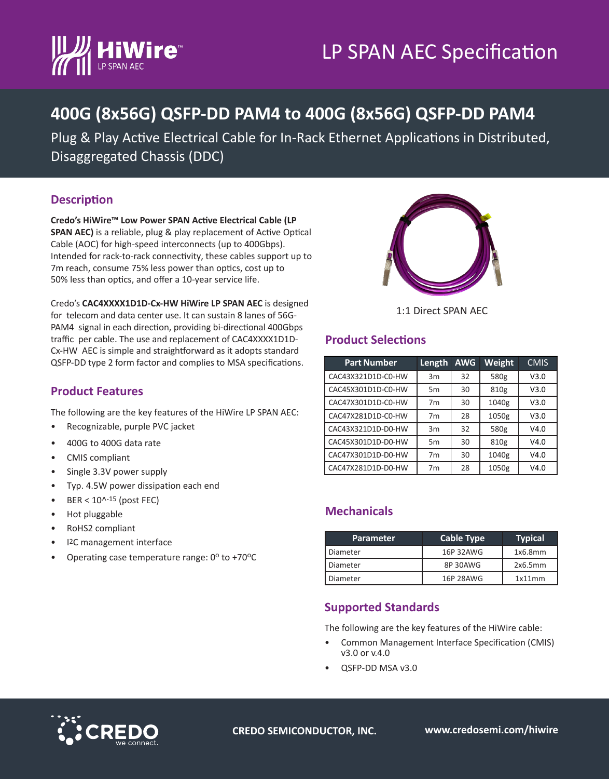

# LP SPAN AEC Specification

## **400G (8x56G) QSFP-DD PAM4 to 400G (8x56G) QSFP-DD PAM4**

Plug & Play Active Electrical Cable for In-Rack Ethernet Applications in Distributed, Disaggregated Chassis (DDC)

#### **Description**

**Credo's HiWire™ Low Power SPAN Active Electrical Cable (LP SPAN AEC)** is a reliable, plug & play replacement of Active Optical Cable (AOC) for high-speed interconnects (up to 400Gbps). Intended for rack-to-rack connectivity, these cables support up to 7m reach, consume 75% less power than optics, cost up to 50% less than optics, and offer a 10-year service life.

Credo's **CAC4XXXX1D1D-Cx-HW HiWire LP SPAN AEC** is designed for telecom and data center use. It can sustain 8 lanes of 56G-PAM4 signal in each direction, providing bi-directional 400Gbps traffic per cable. The use and replacement of CAC4XXXX1D1D-Cx-HW AEC is simple and straightforward as it adopts standard QSFP-DD type 2 form factor and complies to MSA specifications.



1:1 Direct SPAN AEC

#### **Product Selections**

| <b>Part Number</b> | Length         | <b>AWG</b> | Weight | <b>CMIS</b> |
|--------------------|----------------|------------|--------|-------------|
| CAC43X321D1D-C0-HW | 3m             | 32         | 580g   | V3.0        |
| CAC45X301D1D-C0-HW | 5 <sub>m</sub> | 30         | 810g   | V3.0        |
| CAC47X301D1D-C0-HW | 7 <sub>m</sub> | 30         | 1040g  | V3.0        |
| CAC47X281D1D-C0-HW | 7 <sub>m</sub> | 28         | 1050g  | V3.0        |
| CAC43X321D1D-D0-HW | 3m             | 32         | 580g   | V4.0        |
| CAC45X301D1D-D0-HW | 5m             | 30         | 810g   | V4.0        |
| CAC47X301D1D-D0-HW | 7 <sub>m</sub> | 30         | 1040g  | V4.0        |
| CAC47X281D1D-D0-HW | 7 <sub>m</sub> | 28         | 1050g  | V4.0        |

#### **Mechanicals**

| <b>Parameter</b> | <b>Cable Type</b> | <b>Typical</b> |
|------------------|-------------------|----------------|
| Diameter         | 16P 32AWG         | 1x6.8mm        |
| Diameter         | 8P30AWG           | 2x6.5mm        |
| Diameter         | 16P 28AWG         | 1x11mm         |

#### **Supported Standards**

The following are the key features of the HiWire cable:

- Common Management Interface Specification (CMIS) v3.0 or v.4.0
- QSFP-DD MSA v3.0

**CREDO SEMICONDUCTOR, INC. www.credosemi.com/hiwire**

#### **Product Features**

The following are the key features of the HiWire LP SPAN AEC:

- Recognizable, purple PVC jacket
- 400G to 400G data rate
- CMIS compliant
- Single 3.3V power supply
- Typ. 4.5W power dissipation each end
- $BER < 10^{\text{A}-15}$  (post FEC)
- Hot pluggable
- RoHS2 compliant
- I2C management interface
- Operating case temperature range:  $0^{\circ}$  to +70 $^{\circ}$ C